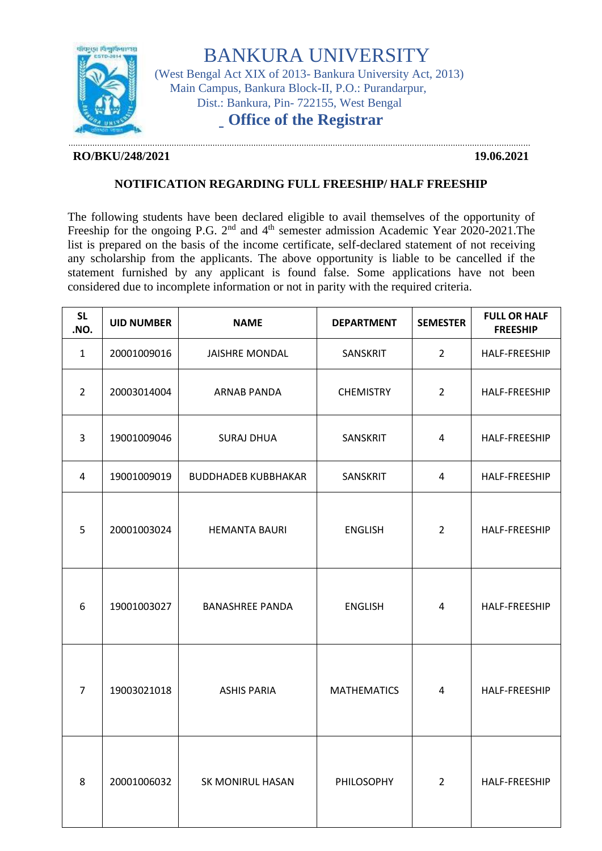

BANKURA UNIVERSITY

(West Bengal Act XIX of 2013- Bankura University Act, 2013) Main Campus, Bankura Block-II, P.O.: Purandarpur, Dist.: Bankura, Pin- 722155, West Bengal

## **Office of the Registrar**

## **RO/BKU/248/2021 19.06.2021**

…………………………………………………………………………………………………………………………………………………………………………

## **NOTIFICATION REGARDING FULL FREESHIP/ HALF FREESHIP**

The following students have been declared eligible to avail themselves of the opportunity of Freeship for the ongoing P.G. 2<sup>nd</sup> and 4<sup>th</sup> semester admission Academic Year 2020-2021.The list is prepared on the basis of the income certificate, self-declared statement of not receiving any scholarship from the applicants. The above opportunity is liable to be cancelled if the statement furnished by any applicant is found false. Some applications have not been considered due to incomplete information or not in parity with the required criteria.

| <b>SL</b><br>.NO. | <b>UID NUMBER</b> | <b>NAME</b>                | <b>DEPARTMENT</b>  | <b>SEMESTER</b> | <b>FULL OR HALF</b><br><b>FREESHIP</b> |
|-------------------|-------------------|----------------------------|--------------------|-----------------|----------------------------------------|
| $\mathbf{1}$      | 20001009016       | <b>JAISHRE MONDAL</b>      | SANSKRIT           | $\overline{2}$  | HALF-FREESHIP                          |
| $\overline{2}$    | 20003014004       | ARNAB PANDA                | <b>CHEMISTRY</b>   | $\overline{2}$  | HALF-FREESHIP                          |
| $\overline{3}$    | 19001009046       | <b>SURAJ DHUA</b>          | SANSKRIT           | $\overline{4}$  | HALF-FREESHIP                          |
| 4                 | 19001009019       | <b>BUDDHADEB KUBBHAKAR</b> | SANSKRIT           | $\overline{4}$  | HALF-FREESHIP                          |
| 5                 | 20001003024       | <b>HEMANTA BAURI</b>       | <b>ENGLISH</b>     | $\overline{2}$  | HALF-FREESHIP                          |
| 6                 | 19001003027       | <b>BANASHREE PANDA</b>     | <b>ENGLISH</b>     | 4               | HALF-FREESHIP                          |
| $\overline{7}$    | 19003021018       | <b>ASHIS PARIA</b>         | <b>MATHEMATICS</b> | 4               | <b>HALF-FREESHIP</b>                   |
| 8                 | 20001006032       | SK MONIRUL HASAN           | PHILOSOPHY         | $\overline{2}$  | HALF-FREESHIP                          |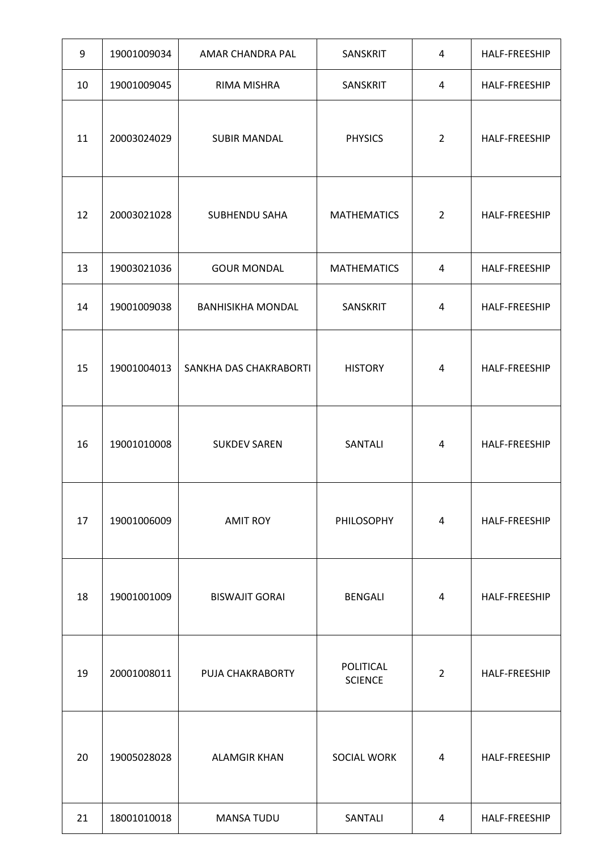| 9  | 19001009034 | AMAR CHANDRA PAL         | SANSKRIT                    | 4              | HALF-FREESHIP |
|----|-------------|--------------------------|-----------------------------|----------------|---------------|
| 10 | 19001009045 | RIMA MISHRA              | SANSKRIT                    | 4              | HALF-FREESHIP |
| 11 | 20003024029 | <b>SUBIR MANDAL</b>      | <b>PHYSICS</b>              | $\overline{2}$ | HALF-FREESHIP |
| 12 | 20003021028 | SUBHENDU SAHA            | <b>MATHEMATICS</b>          | $\overline{2}$ | HALF-FREESHIP |
| 13 | 19003021036 | <b>GOUR MONDAL</b>       | <b>MATHEMATICS</b>          | $\overline{4}$ | HALF-FREESHIP |
| 14 | 19001009038 | <b>BANHISIKHA MONDAL</b> | SANSKRIT                    | 4              | HALF-FREESHIP |
| 15 | 19001004013 | SANKHA DAS CHAKRABORTI   | <b>HISTORY</b>              | 4              | HALF-FREESHIP |
| 16 | 19001010008 | <b>SUKDEV SAREN</b>      | SANTALI                     | 4              | HALF-FREESHIP |
| 17 | 19001006009 | <b>AMIT ROY</b>          | PHILOSOPHY                  | 4              | HALF-FREESHIP |
| 18 | 19001001009 | <b>BISWAJIT GORAI</b>    | <b>BENGALI</b>              | 4              | HALF-FREESHIP |
| 19 | 20001008011 | PUJA CHAKRABORTY         | POLITICAL<br><b>SCIENCE</b> | $\overline{2}$ | HALF-FREESHIP |
| 20 | 19005028028 | <b>ALAMGIR KHAN</b>      | SOCIAL WORK                 | 4              | HALF-FREESHIP |
| 21 | 18001010018 | <b>MANSA TUDU</b>        | SANTALI                     | 4              | HALF-FREESHIP |

 $\mathsf{L}$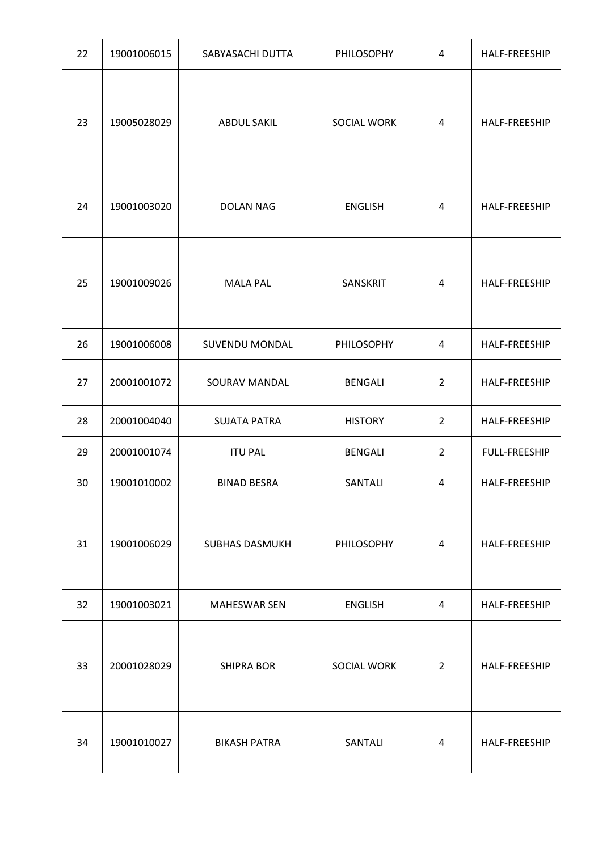| 22 | 19001006015 | SABYASACHI DUTTA      | PHILOSOPHY     | $\overline{4}$ | HALF-FREESHIP        |
|----|-------------|-----------------------|----------------|----------------|----------------------|
| 23 | 19005028029 | <b>ABDUL SAKIL</b>    | SOCIAL WORK    | 4              | HALF-FREESHIP        |
| 24 | 19001003020 | <b>DOLAN NAG</b>      | <b>ENGLISH</b> | $\overline{4}$ | HALF-FREESHIP        |
| 25 | 19001009026 | <b>MALA PAL</b>       | SANSKRIT       | 4              | HALF-FREESHIP        |
| 26 | 19001006008 | <b>SUVENDU MONDAL</b> | PHILOSOPHY     | $\overline{4}$ | HALF-FREESHIP        |
| 27 | 20001001072 | SOURAV MANDAL         | <b>BENGALI</b> | $\overline{2}$ | HALF-FREESHIP        |
| 28 | 20001004040 | <b>SUJATA PATRA</b>   | <b>HISTORY</b> | $\overline{2}$ | HALF-FREESHIP        |
| 29 | 20001001074 | <b>ITU PAL</b>        | <b>BENGALI</b> | $\overline{2}$ | <b>FULL-FREESHIP</b> |
| 30 | 19001010002 | <b>BINAD BESRA</b>    | SANTALI        | 4              | HALF-FREESHIP        |
| 31 | 19001006029 | <b>SUBHAS DASMUKH</b> | PHILOSOPHY     | $\overline{4}$ | <b>HALF-FREESHIP</b> |
| 32 | 19001003021 | MAHESWAR SEN          | <b>ENGLISH</b> | 4              | HALF-FREESHIP        |
| 33 | 20001028029 | <b>SHIPRA BOR</b>     | SOCIAL WORK    | $\overline{2}$ | <b>HALF-FREESHIP</b> |
| 34 | 19001010027 | <b>BIKASH PATRA</b>   | SANTALI        | 4              | HALF-FREESHIP        |